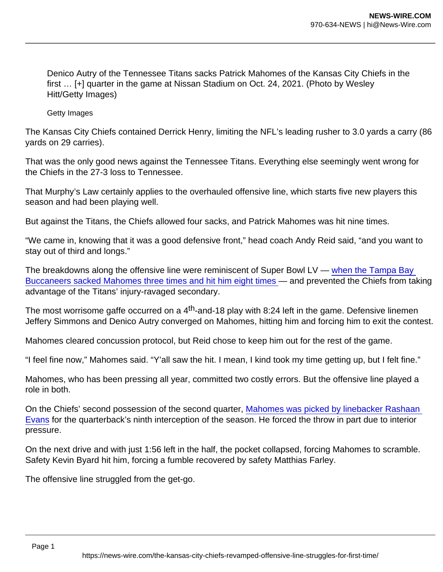Denico Autry of the Tennessee Titans sacks Patrick Mahomes of the Kansas City Chiefs in the first … [+] quarter in the game at Nissan Stadium on Oct. 24, 2021. (Photo by Wesley Hitt/Getty Images)

Getty Images

The Kansas City Chiefs contained Derrick Henry, limiting the NFL's leading rusher to 3.0 yards a carry (86 yards on 29 carries).

That was the only good news against the Tennessee Titans. Everything else seemingly went wrong for the Chiefs in the 27-3 loss to Tennessee.

That Murphy's Law certainly applies to the overhauled offensive line, which starts five new players this season and had been playing well.

But against the Titans, the Chiefs allowed four sacks, and Patrick Mahomes was hit nine times.

"We came in, knowing that it was a good defensive front," head coach Andy Reid said, "and you want to stay out of third and longs."

The breakdowns along the offensive line were reminiscent of Super Bowl LV — [when the Tampa Bay](https://www.forbes.com/sites/jefffedotin/2021/02/08/kansas-city-chiefs-lose-super-bowl-lv-along-the-line-of-scrimmage/?sh=71a10822cbb9)  [Buccaneers sacked Mahomes three times and hit him eight times](https://www.forbes.com/sites/jefffedotin/2021/02/08/kansas-city-chiefs-lose-super-bowl-lv-along-the-line-of-scrimmage/?sh=71a10822cbb9) — and prevented the Chiefs from taking advantage of the Titans' injury-ravaged secondary.

The most worrisome gaffe occurred on a 4<sup>th</sup>-and-18 play with 8:24 left in the game. Defensive linemen Jeffery Simmons and Denico Autry converged on Mahomes, hitting him and forcing him to exit the contest.

Mahomes cleared concussion protocol, but Reid chose to keep him out for the rest of the game.

"I feel fine now," Mahomes said. "Y'all saw the hit. I mean, I kind took my time getting up, but I felt fine."

Mahomes, who has been pressing all year, committed two costly errors. But the offensive line played a role in both.

On the Chiefs' second possession of the second quarter, [Mahomes was picked by linebacker Rashaan](https://twitter.com/BleacherReport/status/1452334956357857307)  [Evans](https://twitter.com/BleacherReport/status/1452334956357857307) for the quarterback's ninth interception of the season. He forced the throw in part due to interior pressure.

On the next drive and with just 1:56 left in the half, the pocket collapsed, forcing Mahomes to scramble. Safety Kevin Byard hit him, forcing a fumble recovered by safety Matthias Farley.

The offensive line struggled from the get-go.